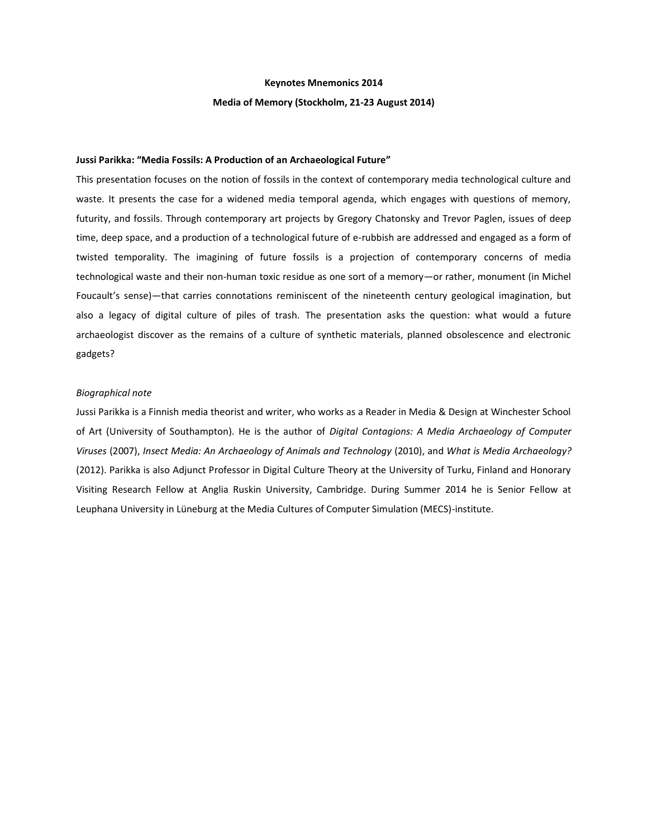#### **Keynotes Mnemonics 2014**

### **Media of Memory (Stockholm, 21-23 August 2014)**

# **Jussi Parikka: "Media Fossils: A Production of an Archaeological Future"**

This presentation focuses on the notion of fossils in the context of contemporary media technological culture and waste. It presents the case for a widened media temporal agenda, which engages with questions of memory, futurity, and fossils. Through contemporary art projects by Gregory Chatonsky and Trevor Paglen, issues of deep time, deep space, and a production of a technological future of e-rubbish are addressed and engaged as a form of twisted temporality. The imagining of future fossils is a projection of contemporary concerns of media technological waste and their non-human toxic residue as one sort of a memory—or rather, monument (in Michel Foucault's sense)—that carries connotations reminiscent of the nineteenth century geological imagination, but also a legacy of digital culture of piles of trash. The presentation asks the question: what would a future archaeologist discover as the remains of a culture of synthetic materials, planned obsolescence and electronic gadgets?

# *Biographical note*

Jussi Parikka is a Finnish media theorist and writer, who works as a Reader in Media & Design at Winchester School of Art (University of Southampton). He is the author of *Digital Contagions: A Media Archaeology of Computer Viruses* (2007), *Insect Media: An Archaeology of Animals and Technology* (2010), and *What is Media Archaeology?* (2012). Parikka is also Adjunct Professor in Digital Culture Theory at the University of Turku, Finland and Honorary Visiting Research Fellow at Anglia Ruskin University, Cambridge. During Summer 2014 he is Senior Fellow at Leuphana University in Lüneburg at the Media Cultures of Computer Simulation (MECS)-institute.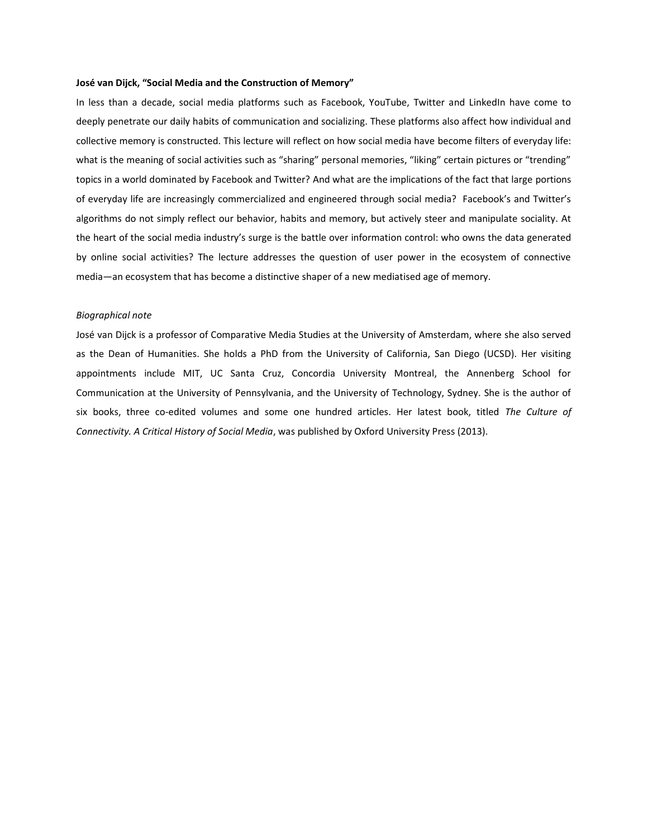## **José van Dijck, "Social Media and the Construction of Memory"**

In less than a decade, social media platforms such as Facebook, YouTube, Twitter and LinkedIn have come to deeply penetrate our daily habits of communication and socializing. These platforms also affect how individual and collective memory is constructed. This lecture will reflect on how social media have become filters of everyday life: what is the meaning of social activities such as "sharing" personal memories, "liking" certain pictures or "trending" topics in a world dominated by Facebook and Twitter? And what are the implications of the fact that large portions of everyday life are increasingly commercialized and engineered through social media? Facebook's and Twitter's algorithms do not simply reflect our behavior, habits and memory, but actively steer and manipulate sociality. At the heart of the social media industry's surge is the battle over information control: who owns the data generated by online social activities? The lecture addresses the question of user power in the ecosystem of connective media—an ecosystem that has become a distinctive shaper of a new mediatised age of memory.

# *Biographical note*

José van Dijck is a professor of Comparative Media Studies at the University of Amsterdam, where she also served as the Dean of Humanities. She holds a PhD from the University of California, San Diego (UCSD). Her visiting appointments include MIT, UC Santa Cruz, Concordia University Montreal, the Annenberg School for Communication at the University of Pennsylvania, and the University of Technology, Sydney. She is the author of six books, three co-edited volumes and some one hundred articles. Her latest book, titled *The Culture of Connectivity. A Critical History of Social Media*, was published by Oxford University Press (2013).